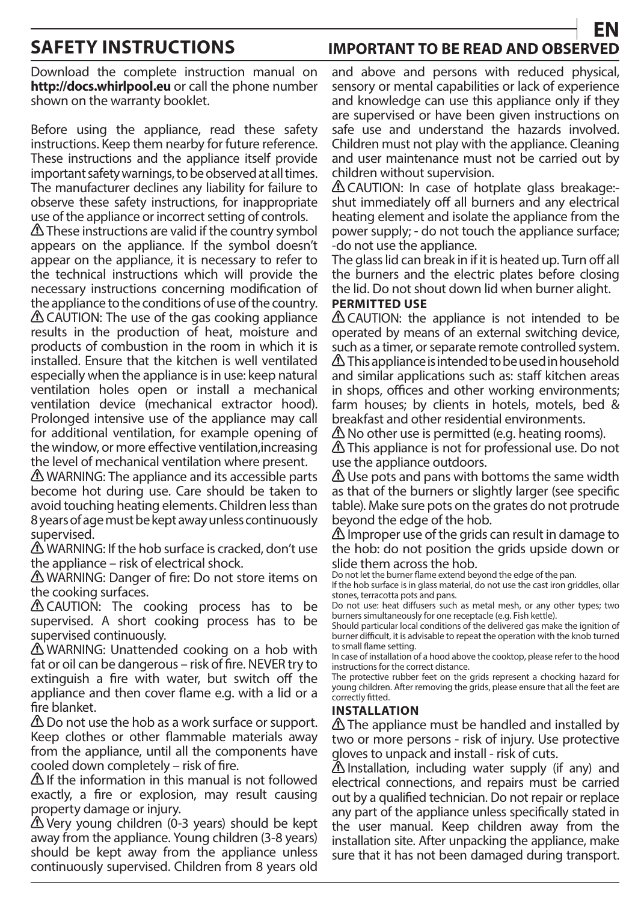# **SAFETY INSTRUCTIONS IMPORTANT TO BE READ AND OBSERVED EN**

Download the complete instruction manual on **http://docs.whirlpool.eu** or call the phone number shown on the warranty booklet.

Before using the appliance, read these safety instructions. Keep them nearby for future reference. These instructions and the appliance itself provide important safety warnings, to be observed at all times. The manufacturer declines any liability for failure to observe these safety instructions, for inappropriate use of the appliance or incorrect setting of controls.

 $\triangle$  These instructions are valid if the country symbol appears on the appliance. If the symbol doesn't appear on the appliance, it is necessary to refer to the technical instructions which will provide the necessary instructions concerning modification of the appliance to the conditions of use of the country. CAUTION: The use of the gas cooking appliance results in the production of heat, moisture and products of combustion in the room in which it is installed. Ensure that the kitchen is well ventilated especially when the appliance is in use: keep natural ventilation holes open or install a mechanical ventilation device (mechanical extractor hood). Prolonged intensive use of the appliance may call for additional ventilation, for example opening of the window, or more effective ventilation, increasing the level of mechanical ventilation where present.

**△ WARNING:** The appliance and its accessible parts become hot during use. Care should be taken to avoid touching heating elements. Children less than 8 years of age must be kept away unless continuously supervised.

WARNING: If the hob surface is cracked, don't use the appliance – risk of electrical shock.

**△ WARNING: Danger of fire: Do not store items on** the cooking surfaces.

**A CAUTION:** The cooking process has to be supervised. A short cooking process has to be supervised continuously.

WARNING: Unattended cooking on a hob with fat or oil can be dangerous – risk of fire. NEVER try to extinguish a fire with water, but switch off the appliance and then cover flame e.g. with a lid or a fire blanket.

**A** Do not use the hob as a work surface or support. Keep clothes or other flammable materials away from the appliance, until all the components have cooled down completely  $-$  risk of fire.

 $\Delta$  If the information in this manual is not followed exactly, a fire or explosion, may result causing property damage or injury.

Very young children (0-3 years) should be kept away from the appliance. Young children (3-8 years) should be kept away from the appliance unless continuously supervised. Children from 8 years old and above and persons with reduced physical, sensory or mental capabilities or lack of experience and knowledge can use this appliance only if they are supervised or have been given instructions on safe use and understand the hazards involved. Children must not play with the appliance. Cleaning and user maintenance must not be carried out by children without supervision.

CAUTION: In case of hotplate glass breakage: shut immediately off all burners and any electrical heating element and isolate the appliance from the power supply; - do not touch the appliance surface; -do not use the appliance.

The glass lid can break in if it is heated up. Turn off all the burners and the electric plates before closing the lid. Do not shout down lid when burner alight.

### **PERMITTED USE**

**A** CAUTION: the appliance is not intended to be operated by means of an external switching device, such as a timer, or separate remote controlled system.  $\triangle$  This appliance is intended to be used in household and similar applications such as: staff kitchen areas in shops, offices and other working environments; farm houses; by clients in hotels, motels, bed & breakfast and other residential environments.

 $\triangle$  No other use is permitted (e.g. heating rooms).

This appliance is not for professional use. Do not use the appliance outdoors.

 $\triangle$  Use pots and pans with bottoms the same width as that of the burners or slightly larger (see specific table). Make sure pots on the grates do not protrude beyond the edge of the hob.

 $\triangle$  Improper use of the grids can result in damage to the hob: do not position the grids upside down or slide them across the hob.

Do not let the burner flame extend beyond the edge of the pan.

If the hob surface is in glass material, do not use the cast iron griddles, ollar stones, terracotta pots and pans.

Do not use: heat diffusers such as metal mesh, or any other types; two burners simultaneously for one receptacle (e.g. Fish kettle).

Should particular local conditions of the delivered gas make the ignition of burner difficult, it is advisable to repeat the operation with the knob turned to small flame setting.

In case of installation of a hood above the cooktop, please refer to the hood instructions for the correct distance.

The protective rubber feet on the grids represent a chocking hazard for young children. After removing the grids, please ensure that all the feet are correctly fitted.

### **INSTALLATION**

 $\triangle$  The appliance must be handled and installed by two or more persons - risk of injury. Use protective gloves to unpack and install - risk of cuts.

 $\Delta$  Installation, including water supply (if any) and electrical connections, and repairs must be carried out by a qualified technician. Do not repair or replace any part of the appliance unless specifically stated in the user manual. Keep children away from the installation site. After unpacking the appliance, make sure that it has not been damaged during transport.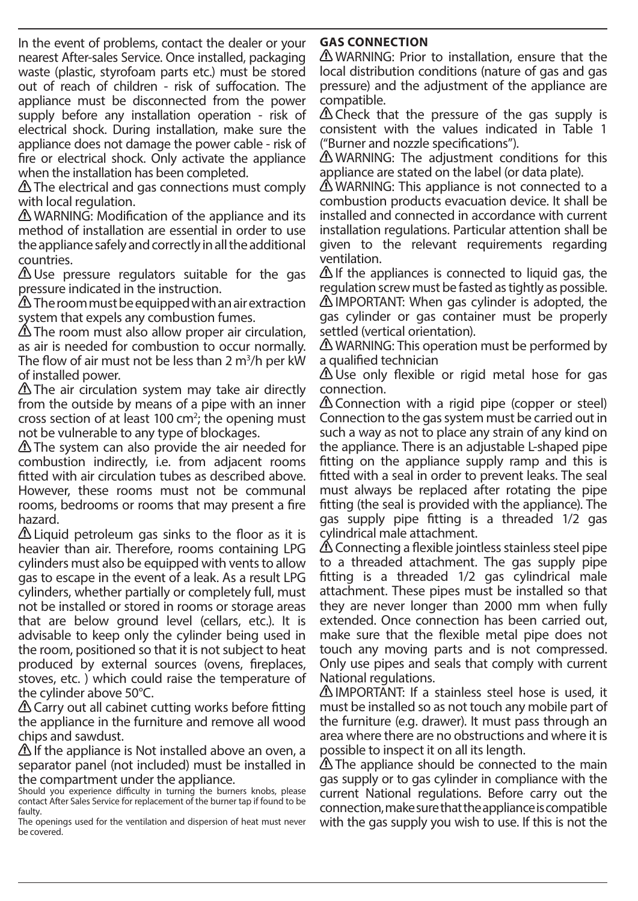In the event of problems, contact the dealer or your nearest After-sales Service. Once installed, packaging waste (plastic, styrofoam parts etc.) must be stored out of reach of children - risk of suffocation. The appliance must be disconnected from the power supply before any installation operation - risk of electrical shock. During installation, make sure the appliance does not damage the power cable - risk of fire or electrical shock. Only activate the appliance when the installation has been completed.

**A** The electrical and gas connections must comply with local regulation.

 $\triangle$  WARNING: Modification of the appliance and its method of installation are essential in order to use the appliance safely and correctly in all the additional countries.

Use pressure regulators suitable for the gas pressure indicated in the instruction.

 $\triangle$  The room must be equipped with an air extraction system that expels any combustion fumes.

**A** The room must also allow proper air circulation, as air is needed for combustion to occur normally. The flow of air must not be less than 2  $m^3/h$  per kW of installed power.

 $\Delta$  The air circulation system may take air directly from the outside by means of a pipe with an inner cross section of at least 100  $\text{cm}^2$ ; the opening must not be vulnerable to any type of blockages.

The system can also provide the air needed for combustion indirectly, i.e. from adjacent rooms fitted with air circulation tubes as described above. However, these rooms must not be communal rooms, bedrooms or rooms that may present a fire hazard.

 $\triangle$  Liquid petroleum gas sinks to the floor as it is heavier than air. Therefore, rooms containing LPG cylinders must also be equipped with vents to allow gas to escape in the event of a leak. As a result LPG cylinders, whether partially or completely full, must not be installed or stored in rooms or storage areas that are below ground level (cellars, etc.). It is advisable to keep only the cylinder being used in the room, positioned so that it is not subject to heat produced by external sources (ovens, fireplaces, stoves, etc. ) which could raise the temperature of the cylinder above 50°C.

 $\triangle$  Carry out all cabinet cutting works before fitting the appliance in the furniture and remove all wood chips and sawdust.

If the appliance is Not installed above an oven, a separator panel (not included) must be installed in the compartment under the appliance.

# **GAS CONNECTION**

WARNING: Prior to installation, ensure that the local distribution conditions (nature of gas and gas pressure) and the adjustment of the appliance are compatible.

 $\triangle$  Check that the pressure of the gas supply is consistent with the values indicated in Table 1 ("Burner and nozzle specifications").

WARNING: The adjustment conditions for this appliance are stated on the label (or data plate).

**A** WARNING: This appliance is not connected to a combustion products evacuation device. It shall be installed and connected in accordance with current installation regulations. Particular attention shall be given to the relevant requirements regarding ventilation.

If the appliances is connected to liquid gas, the regulation screw must be fasted as tightly as possible. IMPORTANT: When gas cylinder is adopted, the gas cylinder or gas container must be properly settled (vertical orientation).

**A** WARNING: This operation must be performed by a qualified technician

 $\triangle$  Use only flexible or rigid metal hose for gas connection.

 $\Delta$  Connection with a rigid pipe (copper or steel) Connection to the gas system must be carried out in such a way as not to place any strain of any kind on the appliance. There is an adjustable L-shaped pipe tting on the appliance supply ramp and this is fitted with a seal in order to prevent leaks. The seal must always be replaced after rotating the pipe tting (the seal is provided with the appliance). The gas supply pipe fitting is a threaded 1/2 gas cylindrical male attachment.

 $\triangle$  Connecting a flexible jointless stainless steel pipe to a threaded attachment. The gas supply pipe tting is a threaded 1/2 gas cylindrical male attachment. These pipes must be installed so that they are never longer than 2000 mm when fully extended. Once connection has been carried out, make sure that the flexible metal pipe does not touch any moving parts and is not compressed. Only use pipes and seals that comply with current National regulations.

IMPORTANT: If a stainless steel hose is used, it must be installed so as not touch any mobile part of the furniture (e.g. drawer). It must pass through an area where there are no obstructions and where it is possible to inspect it on all its length.

The appliance should be connected to the main gas supply or to gas cylinder in compliance with the current National regulations. Before carry out the connection, make sure that the appliance is compatible with the gas supply you wish to use. If this is not the

Should you experience difficulty in turning the burners knobs, please contact After Sales Service for replacement of the burner tap if found to be faulty.

The openings used for the ventilation and dispersion of heat must never be covered.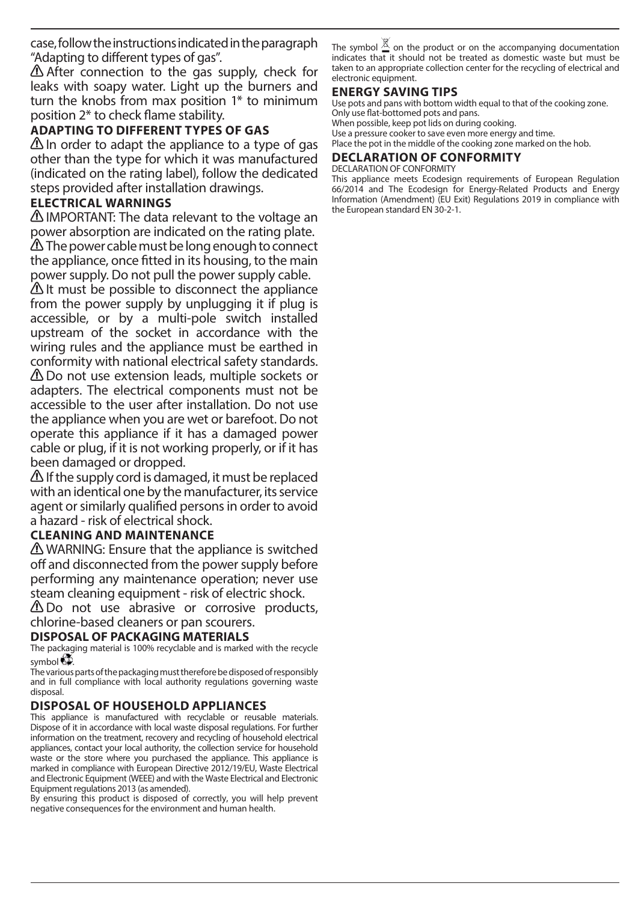case, follow the instructions indicated in the paragraph "Adapting to different types of gas".

 $\triangle$  After connection to the gas supply, check for leaks with soapy water. Light up the burners and turn the knobs from max position 1\* to minimum position  $2^*$  to check flame stability.

# **ADAPTING TO DIFFERENT TYPES OF GAS**

 $\triangle$  In order to adapt the appliance to a type of gas other than the type for which it was manufactured (indicated on the rating label), follow the dedicated steps provided after installation drawings.

## **ELECTRICAL WARNINGS**

IMPORTANT: The data relevant to the voltage an power absorption are indicated on the rating plate.  $\triangle$  The power cable must be long enough to connect the appliance, once fitted in its housing, to the main power supply. Do not pull the power supply cable.

 $\Delta$  It must be possible to disconnect the appliance from the power supply by unplugging it if plug is accessible, or by a multi-pole switch installed upstream of the socket in accordance with the wiring rules and the appliance must be earthed in conformity with national electrical safety standards. Do not use extension leads, multiple sockets or adapters. The electrical components must not be accessible to the user after installation. Do not use the appliance when you are wet or barefoot. Do not operate this appliance if it has a damaged power cable or plug, if it is not working properly, or if it has been damaged or dropped.

 $\triangle$  If the supply cord is damaged, it must be replaced with an identical one by the manufacturer, its service agent or similarly qualified persons in order to avoid a hazard - risk of electrical shock.

### **CLEANING AND MAINTENANCE**

WARNING: Ensure that the appliance is switched off and disconnected from the power supply before performing any maintenance operation; never use steam cleaning equipment - risk of electric shock.

 $\triangle$  Do not use abrasive or corrosive products, chlorine-based cleaners or pan scourers.

### **DISPOSAL OF PACKAGING MATERIALS**

The packaging material is 100% recyclable and is marked with the recycle symbol  $60$ .

The various parts of the packaging must therefore be disposed of responsibly and in full compliance with local authority regulations governing waste disposal.

# **DISPOSAL OF HOUSEHOLD APPLIANCES**

This appliance is manufactured with recyclable or reusable materials. Dispose of it in accordance with local waste disposal regulations. For further information on the treatment, recovery and recycling of household electrical appliances, contact your local authority, the collection service for household waste or the store where you purchased the appliance. This appliance is marked in compliance with European Directive 2012/19/EU, Waste Electrical and Electronic Equipment (WEEE) and with the Waste Electrical and Electronic Equipment regulations 2013 (as amended).

By ensuring this product is disposed of correctly, you will help prevent negative consequences for the environment and human health.

The symbol  $\triangleq$  on the product or on the accompanying documentation indicates that it should not be treated as domestic waste but must be taken to an appropriate collection center for the recycling of electrical and electronic equipment.

### **ENERGY SAVING TIPS**

Use pots and pans with bottom width equal to that of the cooking zone. Only use flat-bottomed pots and pans.

When possible, keep pot lids on during cooking.

Use a pressure cooker to save even more energy and time. Place the pot in the middle of the cooking zone marked on the hob.

#### **DECLARATION OF CONFORMITY** DECLARATION OF CONFORMITY

This appliance meets Ecodesign requirements of European Regulation 66/2014 and The Ecodesign for Energy-Related Products and Energy Information (Amendment) (EU Exit) Regulations 2019 in compliance with the European standard EN 30-2-1.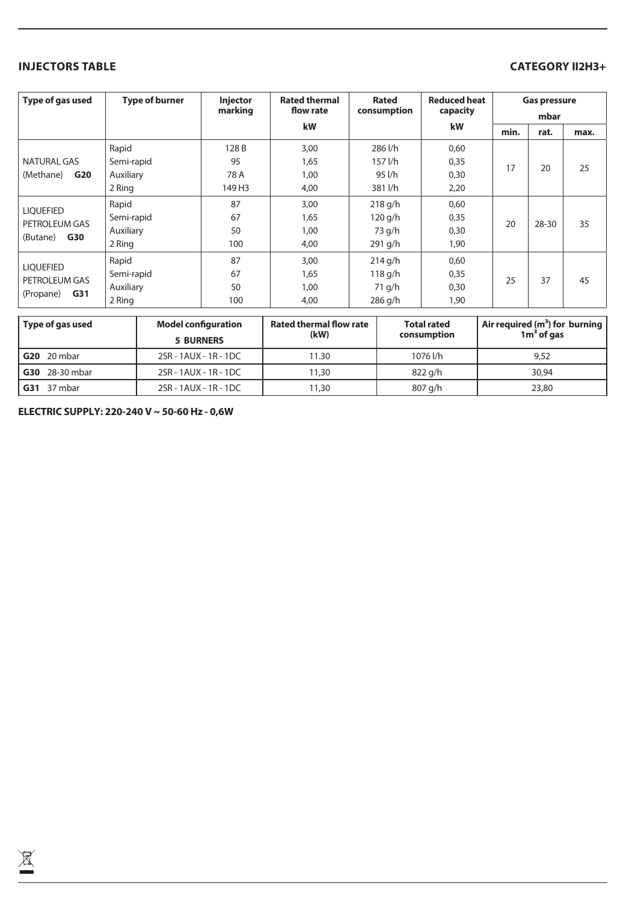## **INJECTORS TABLE CATEGORY II2H3+**

| Type of gas used                                            | <b>Type of burner</b> | <b>Injector</b><br>marking | <b>Rated thermal</b><br>flow rate | <b>Rated</b><br>consumption | <b>Reduced heat</b><br>capacity | <b>Gas pressure</b><br>mbar |           |      |
|-------------------------------------------------------------|-----------------------|----------------------------|-----------------------------------|-----------------------------|---------------------------------|-----------------------------|-----------|------|
|                                                             |                       |                            | <b>kW</b>                         |                             | kW                              | min.                        | rat.      | max. |
| NATURAL GAS<br>(Methane)<br>G20                             | Rapid                 | 128 B                      | 3,00                              | 286 l/h                     | 0,60                            |                             | 20        | 25   |
|                                                             | Semi-rapid            | 95                         | 1,65                              | $157$ $1/h$                 | 0,35                            | 17                          |           |      |
|                                                             | Auxiliary             | 78 A                       | 1,00                              | 95 l/h                      | 0,30                            |                             |           |      |
|                                                             | 2 Ring                | 149 H3                     | 4,00                              | 381 l/h                     | 2,20                            |                             |           |      |
| <b>LIQUEFIED</b><br>PETROLEUM GAS<br><b>G30</b><br>(Butane) | Rapid                 | 87                         | 3,00                              | $218$ g/h                   | 0,60                            |                             | $28 - 30$ | 35   |
|                                                             | Semi-rapid            | 67                         | 1,65                              | $120$ g/h                   | 0,35                            | 20                          |           |      |
|                                                             | Auxiliary             | 50                         | 1,00                              | 73 g/h                      | 0,30                            |                             |           |      |
|                                                             | 2 Ring                | 100                        | 4,00                              | $291$ g/h                   | 1,90                            |                             |           |      |
| <b>LIOUEFIED</b><br>PETROLEUM GAS<br>G31<br>(Propane)       | Rapid                 | 87                         | 3,00                              | $214$ g/h                   | 0,60                            |                             |           |      |
|                                                             | Semi-rapid            | 67                         | 1,65                              | 118 g/h                     | 0,35                            | 25                          | 37        | 45   |
|                                                             | Auxiliary             | 50                         | 1,00                              | 71 g/h                      | 0,30                            |                             |           |      |
|                                                             | 2 Ring                | 100                        | 4,00                              | $286$ g/h                   | 1,90                            |                             |           |      |

| Type of gas used      | <b>Model configuration</b><br><b>5 BURNERS</b> | <b>Rated thermal flow rate</b><br>(kW) | <b>Total rated</b><br>consumption | Air required $(m^3)$ for burning<br>$1m3$ of gas |  |
|-----------------------|------------------------------------------------|----------------------------------------|-----------------------------------|--------------------------------------------------|--|
| <b>G20</b> 20 mbar    | 2SR - 1AUX - 1R - 1DC                          | 11.30                                  | 1076 l/h                          | 9,52                                             |  |
| <b>G30</b> 28-30 mbar | 2SR - 1AUX - 1R - 1DC                          | 11,30                                  | 822 g/h                           | 30.94                                            |  |
| <b>G31</b> 37 mbar    | 2SR - 1AUX - 1R - 1DC                          | 11,30                                  | 807 g/h                           | 23,80                                            |  |

**ELECTRIC SUPPLY: 220-240 V ~ 50-60 Hz - 0,6W**

 $\widetilde{\mathbb{X}}$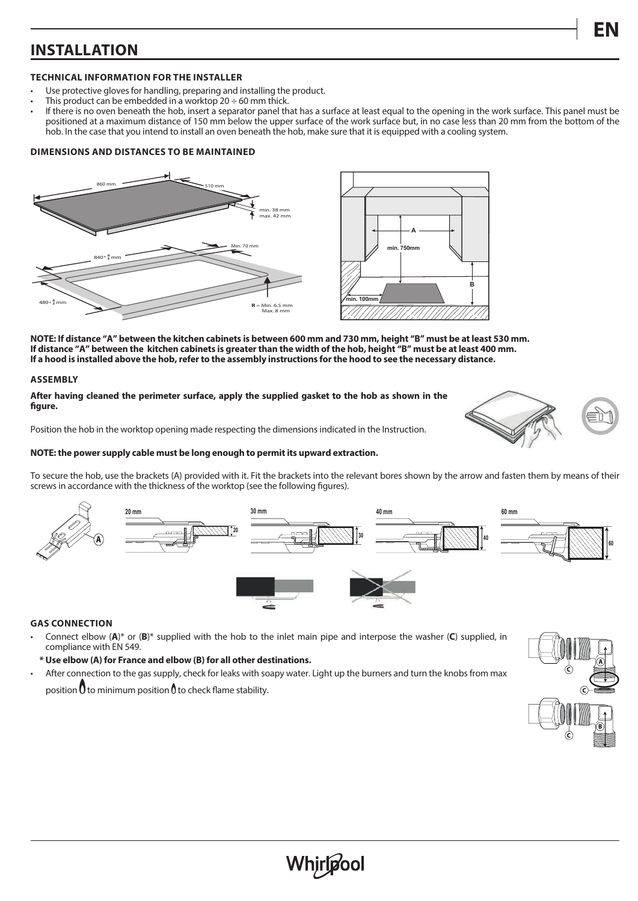# **INSTALLATION**

#### **TECHNICAL INFORMATION FOR THE INSTALLER**

- Use protective gloves for handling, preparing and installing the product.
- This product can be embedded in a worktop 20  $\div$  60 mm thick.
- If there is no oven beneath the hob, insert a separator panel that has a surface at least equal to the opening in the work surface. This panel must be positioned at a maximum distance of 150 mm below the upper surface of the work surface but, in no case less than 20 mm from the bottom of the hob. In the case that you intend to install an oven beneath the hob, make sure that it is equipped with a cooling system.

#### **DIMENSIONS AND DISTANCES TO BE MAINTAINED**



**NOTE: If distance "A" between the kitchen cabinets is between 600 mm and 730 mm, height "B" must be at least 530 mm. If distance "A" between the kitchen cabinets is greater than the width of the hob, height "B" must be at least 400 mm. If a hood is installed above the hob, refer to the assembly instructions for the hood to see the necessary distance.**

#### **ASSEMBLY**

**After having cleaned the perimeter surface, apply the supplied gasket to the hob as shown in the**  figure.

Position the hob in the worktop opening made respecting the dimensions indicated in the Instruction.



#### **NOTE: the power supply cable must be long enough to permit its upward extraction.**

To secure the hob, use the brackets (A) provided with it. Fit the brackets into the relevant bores shown by the arrow and fasten them by means of their screws in accordance with the thickness of the worktop (see the following figures).



#### **GAS CONNECTION**

- Connect elbow (**A**)\* or (**B**)\* supplied with the hob to the inlet main pipe and interpose the washer (**C**) supplied, in compliance with EN 549.
- **\* Use elbow (A) for France and elbow (B) for all other destinations.**

• After connection to the gas supply, check for leaks with soapy water. Light up the burners and turn the knobs from max position  $0$  to minimum position  $0$  to check flame stability.

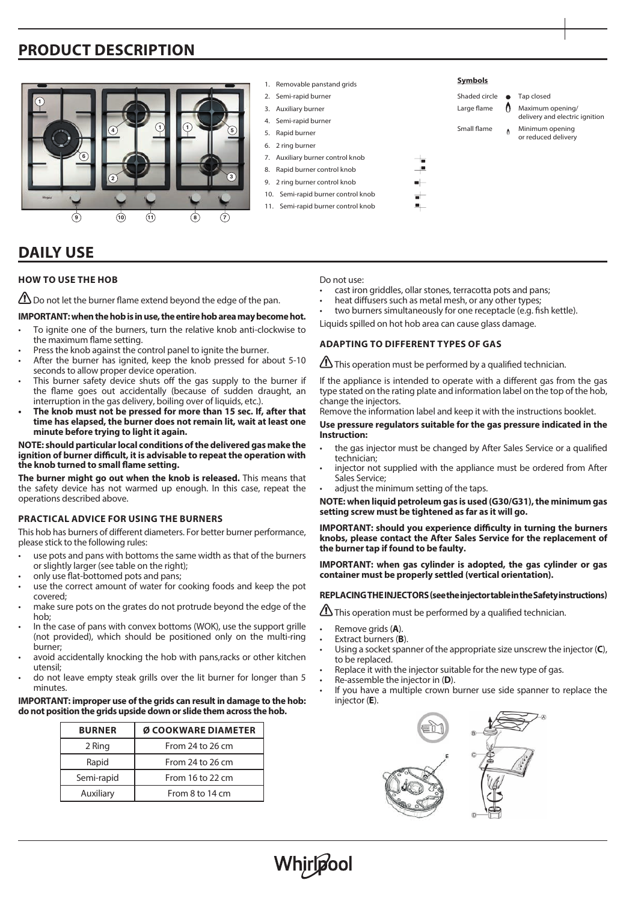# **PRODUCT DESCRIPTION**



# **DAILY USE**

### **HOW TO USE THE HOB**

 $\bigoplus$  Do not let the burner flame extend beyond the edge of the pan.

#### **IMPORTANT: when the hob is in use, the entire hob area may become hot.**

- To ignite one of the burners, turn the relative knob anti-clockwise to the maximum flame setting.
- Press the knob against the control panel to ignite the burner.
- After the burner has ignited, keep the knob pressed for about 5-10 seconds to allow proper device operation.
- This burner safety device shuts off the gas supply to the burner if the flame goes out accidentally (because of sudden draught, an interruption in the gas delivery, boiling over of liquids, etc.).
- **• The knob must not be pressed for more than 15 sec. If, after that time has elapsed, the burner does not remain lit, wait at least one minute before trying to light it again.**

#### **NOTE: should particular local conditions of the delivered gas make the**  ignition of burner difficult, it is advisable to repeat the operation with the knob turned to small flame setting.

**The burner might go out when the knob is released.** This means that the safety device has not warmed up enough. In this case, repeat the operations described above.

#### **PRACTICAL ADVICE FOR USING THE BURNERS**

This hob has burners of different diameters. For better burner performance, please stick to the following rules:

- use pots and pans with bottoms the same width as that of the burners or slightly larger (see table on the right);
- only use flat-bottomed pots and pans;
- use the correct amount of water for cooking foods and keep the pot covered;
- make sure pots on the grates do not protrude beyond the edge of the hob;
- In the case of pans with convex bottoms (WOK), use the support grille (not provided), which should be positioned only on the multi-ring burner;
- avoid accidentally knocking the hob with pans, racks or other kitchen utensil;
- do not leave empty steak grills over the lit burner for longer than 5 minutes.

#### **IMPORTANT: improper use of the grids can result in damage to the hob: do not position the grids upside down or slide them across the hob.**

| <b>BURNER</b> | Ø COOKWARE DIAMETER |  |  |
|---------------|---------------------|--|--|
| 2 Ring        | From 24 to 26 cm    |  |  |
| Rapid         | From 24 to 26 cm    |  |  |
| Semi-rapid    | From 16 to 22 cm    |  |  |
| Auxiliary     | From 8 to 14 cm     |  |  |

Do not use:

- cast iron griddles, ollar stones, terracotta pots and pans;
- heat diffusers such as metal mesh, or any other types:
- two burners simultaneously for one receptacle (e.g. fish kettle).

Liquids spilled on hot hob area can cause glass damage.

#### **ADAPTING TO DIFFERENT TYPES OF GAS**

This operation must be performed by a qualified technician.

If the appliance is intended to operate with a different gas from the gas type stated on the rating plate and information label on the top of the hob, change the injectors.

Remove the information label and keep it with the instructions booklet.

#### **Use pressure regulators suitable for the gas pressure indicated in the Instruction:**

- the gas injector must be changed by After Sales Service or a qualified technician;
- injector not supplied with the appliance must be ordered from After Sales Service;
- adjust the minimum setting of the taps.

**NOTE: when liquid petroleum gas is used (G30/G31), the minimum gas setting screw must be tightened as far as it will go.**

**IMPORTANT: should you experience difficulty in turning the burners knobs, please contact the After Sales Service for the replacement of the burner tap if found to be faulty.**

**IMPORTANT: when gas cylinder is adopted, the gas cylinder or gas container must be properly settled (vertical orientation).**

#### **REPLACING THE INJECTORS (see the injector table in the Safety instructions)**

This operation must be performed by a qualified technician.

• Remove grids (**A**).

Whirløool

- Extract burners (**B**).
- Using a socket spanner of the appropriate size unscrew the injector (**C**), to be replaced.
- Replace it with the injector suitable for the new type of gas.
- Re-assemble the injector in (**D**).
- If you have a multiple crown burner use side spanner to replace the injector (**E**).

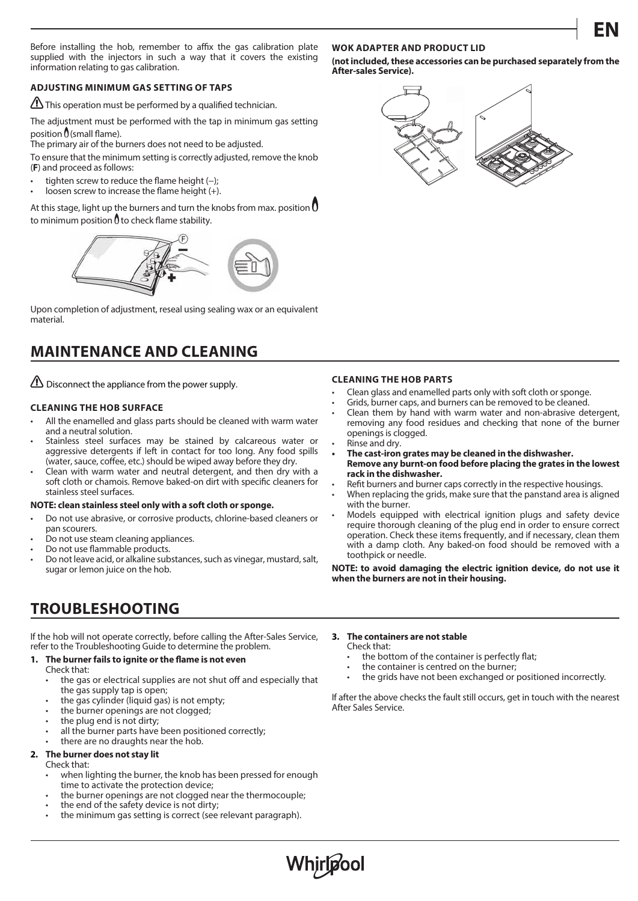**EN**

Before installing the hob, remember to affix the gas calibration plate supplied with the injectors in such a way that it covers the existing information relating to gas calibration.

### **ADJUSTING MINIMUM GAS SETTING OF TAPS**

This operation must be performed by a qualified technician.

The adjustment must be performed with the tap in minimum gas setting position  $\mathbf{0}$  (small flame).

The primary air of the burners does not need to be adjusted.

To ensure that the minimum setting is correctly adjusted, remove the knob (**F**) and proceed as follows:

- tighten screw to reduce the flame height  $(-)$ ;
- loosen screw to increase the flame height  $(+)$ .

At this stage, light up the burners and turn the knobs from max. position  $0$ to minimum position  $\theta$  to check flame stability.



Upon completion of adjustment, reseal using sealing wax or an equivalent material.

# **MAINTENANCE AND CLEANING**

 $\mathbf{\Omega}$  Disconnect the appliance from the power supply.

#### **CLEANING THE HOB SURFACE**

- All the enamelled and glass parts should be cleaned with warm water and a neutral solution.
- Stainless steel surfaces may be stained by calcareous water or aggressive detergents if left in contact for too long. Any food spills (water, sauce, coffee, etc.) should be wiped away before they dry.
- Clean with warm water and neutral detergent, and then dry with a soft cloth or chamois. Remove baked-on dirt with specific cleaners for stainless steel surfaces.

#### **NOTE: clean stainless steel only with a soft cloth or sponge.**

- Do not use abrasive, or corrosive products, chlorine-based cleaners or pan scourers.
- Do not use steam cleaning appliances.
- Do not use flammable products.
- Do not leave acid, or alkaline substances, such as vinegar, mustard, salt, sugar or lemon juice on the hob.

# **TROUBLESHOOTING**

If the hob will not operate correctly, before calling the After-Sales Service, refer to the Troubleshooting Guide to determine the problem.

#### 1. The burner fails to ignite or the flame is not even

- Check that:
	- the gas or electrical supplies are not shut off and especially that the gas supply tap is open;
	- the gas cylinder (liquid gas) is not empty;
	- the burner openings are not clogged;
	- the plug end is not dirty;
	- all the burner parts have been positioned correctly;
	- there are no draughts near the hob.

### **2. The burner does not stay lit**

- Check that:
	- when lighting the burner, the knob has been pressed for enough time to activate the protection device;
	- the burner openings are not clogged near the thermocouple;
	- the end of the safety device is not dirty;
	- the minimum gas setting is correct (see relevant paragraph).

#### **WOK ADAPTER AND PRODUCT LID**

**(not included, these accessories can be purchased separately from the After-sales Service).**



#### **CLEANING THE HOB PARTS**

- Clean glass and enamelled parts only with soft cloth or sponge.
- Grids, burner caps, and burners can be removed to be cleaned.
- Clean them by hand with warm water and non-abrasive detergent, removing any food residues and checking that none of the burner openings is clogged.
- Rinse and dry.
- **• The cast-iron grates may be cleaned in the dishwasher. Remove any burnt-on food before placing the grates in the lowest rack in the dishwasher.**
- Refit burners and burner caps correctly in the respective housings.
- When replacing the grids, make sure that the panstand area is aligned with the burner.
- Models equipped with electrical ignition plugs and safety device require thorough cleaning of the plug end in order to ensure correct operation. Check these items frequently, and if necessary, clean them with a damp cloth. Any baked-on food should be removed with a toothpick or needle.

**NOTE: to avoid damaging the electric ignition device, do not use it when the burners are not in their housing.**

**3. The containers are not stable**

Check that:

- the bottom of the container is perfectly flat;
- the container is centred on the burner:
- the grids have not been exchanged or positioned incorrectly.

If after the above checks the fault still occurs, get in touch with the nearest After Sales Service.